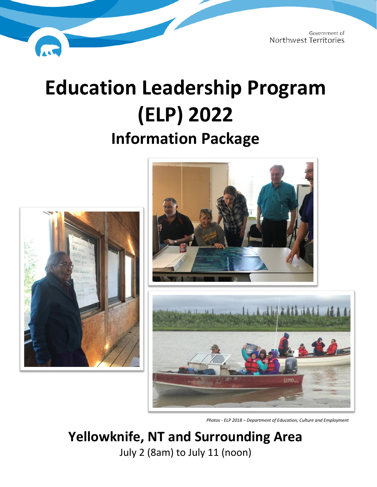# **Education Leadership Program (ELP) 2022**

**Information Package**







*Photos - ELP 2018 – Department of Education, Culture and Employment*

# **Yellowknife, NT and Surrounding Area** July 2 (8am) to July 11 (noon)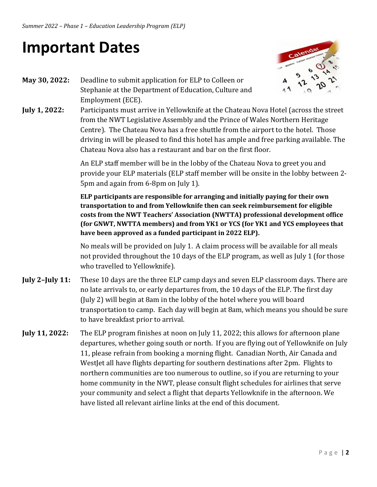# **Important Dates**



- **May 30, 2022:** Deadline to submit application for ELP to Colleen or Stephanie at the Department of Education, Culture and Employment (ECE).
- **July 1, 2022:** Participants must arrive in Yellowknife at the Chateau Nova Hotel (across the street from the NWT Legislative Assembly and the Prince of Wales Northern Heritage Centre). The Chateau Nova has a free shuttle from the airport to the hotel. Those driving in will be pleased to find this hotel has ample and free parking available. The Chateau Nova also has a restaurant and bar on the first floor.

An ELP staff member will be in the lobby of the Chateau Nova to greet you and provide your ELP materials (ELP staff member will be onsite in the lobby between 2- 5pm and again from 6-8pm on July 1).

**ELP participants are responsible for arranging and initially paying for their own transportation to and from Yellowknife then can seek reimbursement for eligible costs from the NWT Teachers' Association (NWTTA) professional development office (for GNWT, NWTTA members) and from YK1 or YCS (for YK1 and YCS employees that have been approved as a funded participant in 2022 ELP).**

No meals will be provided on July 1. A claim process will be available for all meals not provided throughout the 10 days of the ELP program, as well as July 1 (for those who travelled to Yellowknife).

- **July 2–July 11:** These 10 days are the three ELP camp days and seven ELP classroom days. There are no late arrivals to, or early departures from, the 10 days of the ELP. The first day (July 2) will begin at 8am in the lobby of the hotel where you will board transportation to camp. Each day will begin at 8am, which means you should be sure to have breakfast prior to arrival.
- **July 11, 2022:** The ELP program finishes at noon on July 11, 2022; this allows for afternoon plane departures, whether going south or north. If you are flying out of Yellowknife on July 11, please refrain from booking a morning flight. Canadian North, Air Canada and WestJet all have flights departing for southern destinations after 2pm. Flights to northern communities are too numerous to outline, so if you are returning to your home community in the NWT, please consult flight schedules for airlines that serve your community and select a flight that departs Yellowknife in the afternoon. We have listed all relevant airline links at the end of this document.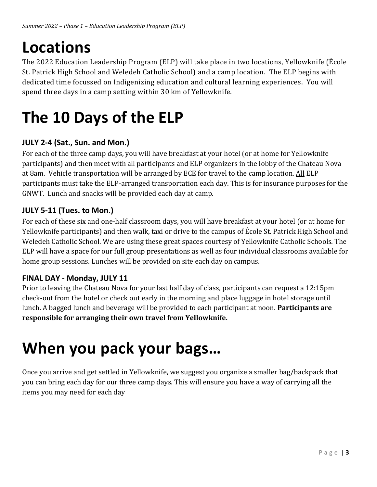# **Locations**

The 2022 Education Leadership Program (ELP) will take place in two locations, Yellowknife (École St. Patrick High School and Weledeh Catholic School) and a camp location. The ELP begins with dedicated time focussed on Indigenizing education and cultural learning experiences. You will spend three days in a camp setting within 30 km of Yellowknife.

# **The 10 Days of the ELP**

# **JULY 2-4 (Sat., Sun. and Mon.)**

For each of the three camp days, you will have breakfast at your hotel (or at home for Yellowknife participants) and then meet with all participants and ELP organizers in the lobby of the Chateau Nova at 8am. Vehicle transportation will be arranged by ECE for travel to the camp location. All ELP participants must take the ELP-arranged transportation each day. This is for insurance purposes for the GNWT. Lunch and snacks will be provided each day at camp.

# **JULY 5-11 (Tues. to Mon.)**

For each of these six and one-half classroom days, you will have breakfast at your hotel (or at home for Yellowknife participants) and then walk, taxi or drive to the campus of École St. Patrick High School and Weledeh Catholic School. We are using these great spaces courtesy of Yellowknife Catholic Schools. The ELP will have a space for our full group presentations as well as four individual classrooms available for home group sessions. Lunches will be provided on site each day on campus.

# **FINAL DAY - Monday, JULY 11**

Prior to leaving the Chateau Nova for your last half day of class, participants can request a 12:15pm check-out from the hotel or check out early in the morning and place luggage in hotel storage until lunch. A bagged lunch and beverage will be provided to each participant at noon. **Participants are responsible for arranging their own travel from Yellowknife.**

# **When you pack your bags…**

Once you arrive and get settled in Yellowknife, we suggest you organize a smaller bag/backpack that you can bring each day for our three camp days. This will ensure you have a way of carrying all the items you may need for each day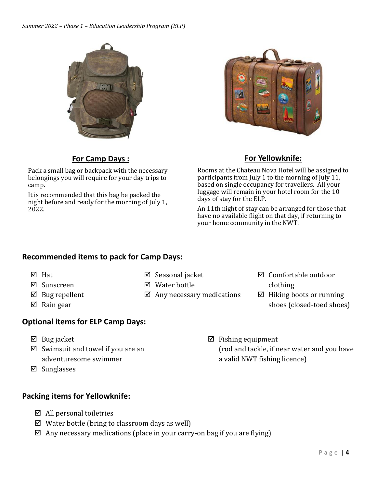*Summer 2022 – Phase 1 – Education Leadership Program (ELP)*





# **For Camp Days :**

Pack a small bag or backpack with the necessary belongings you will require for your day trips to camp.

It is recommended that this bag be packed the night before and ready for the morning of July 1, 2022.

# **For Yellowknife:**

Rooms at the Chateau Nova Hotel will be assigned to participants from July 1 to the morning of July 11, based on single occupancy for travellers. All your luggage will remain in your hotel room for the 10 days of stay for the ELP.

An 11th night of stay can be arranged for those that have no available flight on that day, if returning to your home community in the NWT.

### **Recommended items to pack for Camp Days:**

- **Ø** Hat
- ⊠ Sunscreen
- $\boxtimes$  Bug repellent
- $\boxtimes$  Rain gear

# **Optional items for ELP Camp Days:**

- $\boxtimes$  Bug jacket
- $\boxtimes$  Swimsuit and towel if you are an adventuresome swimmer
- $\boxtimes$  Sunglasses

# **Packing items for Yellowknife:**

- $\boxtimes$  All personal toiletries
- $\boxtimes$  Water bottle (bring to classroom days as well)
- $\boxtimes$  Any necessary medications (place in your carry-on bag if you are flying)

**Ø** Seasonal jacket Water bottle

 $\boxtimes$  Any necessary medications

clothing

Comfortable outdoor

- $\boxtimes$  Hiking boots or running shoes (closed-toed shoes)
- $\boxtimes$  Fishing equipment (rod and tackle, if near water and you have a valid NWT fishing licence)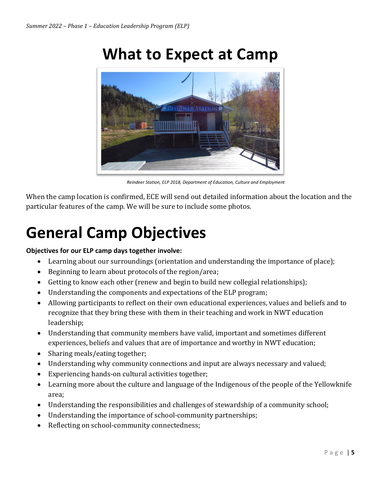# **What to Expect at Camp**



*Reindeer Station, ELP 2018, Department of Education, Culture and Employment*

When the camp location is confirmed, ECE will send out detailed information about the location and the particular features of the camp. We will be sure to include some photos.

# **General Camp Objectives**

### **Objectives for our ELP camp days together involve:**

- Learning about our surroundings (orientation and understanding the importance of place);
- Beginning to learn about protocols of the region/area;
- Getting to know each other (renew and begin to build new collegial relationships);
- Understanding the components and expectations of the ELP program;
- Allowing participants to reflect on their own educational experiences, values and beliefs and to recognize that they bring these with them in their teaching and work in NWT education leadership;
- Understanding that community members have valid, important and sometimes different experiences, beliefs and values that are of importance and worthy in NWT education;
- Sharing meals/eating together;
- Understanding why community connections and input are always necessary and valued;
- Experiencing hands-on cultural activities together;
- Learning more about the culture and language of the Indigenous of the people of the Yellowknife area;
- Understanding the responsibilities and challenges of stewardship of a community school;
- Understanding the importance of school-community partnerships;
- Reflecting on school-community connectedness;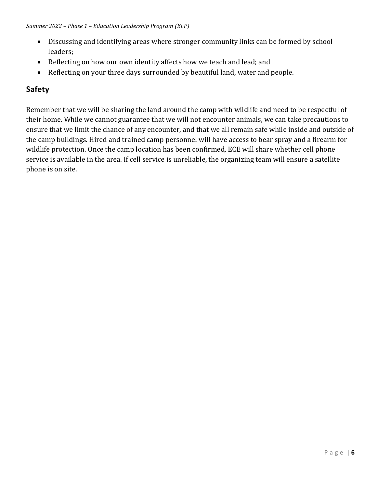- Discussing and identifying areas where stronger community links can be formed by school leaders;
- Reflecting on how our own identity affects how we teach and lead; and
- Reflecting on your three days surrounded by beautiful land, water and people.

# **Safety**

Remember that we will be sharing the land around the camp with wildlife and need to be respectful of their home. While we cannot guarantee that we will not encounter animals, we can take precautions to ensure that we limit the chance of any encounter, and that we all remain safe while inside and outside of the camp buildings. Hired and trained camp personnel will have access to bear spray and a firearm for wildlife protection. Once the camp location has been confirmed, ECE will share whether cell phone service is available in the area. If cell service is unreliable, the organizing team will ensure a satellite phone is on site.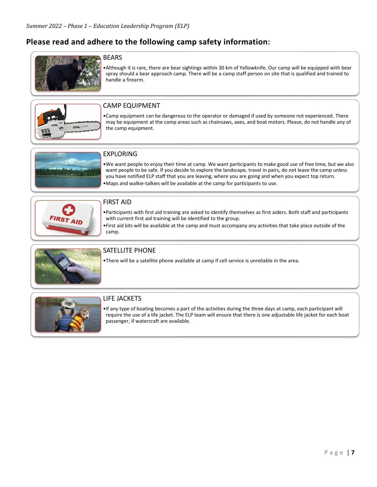# **Please read and adhere to the following camp safety information:**



#### BEARS

•Although it is rare, there are bear sightings within 30 km of Yellowknife. Our camp will be equipped with bear spray should a bear approach camp. There will be a camp staff person on site that is qualified and trained to handle a firearm.



#### CAMP EQUIPMENT

•Camp equipment can be dangerous to the operator or damaged if used by someone not experienced. There may be equipment at the camp areas such as chainsaws, axes, and boat motors. Please, do not handle any of the camp equipment.



#### EXPLORING

- •We want people to enjoy their time at camp. We want participants to make good use of free time, but we also want people to be safe. If you decide to explore the landscape, travel in pairs, do not leave the camp unless you have notified ELP staff that you are leaving, where you are going and when you expect top return.
- •Maps and walkie-talkies will be available at the camp for participants to use.



#### FIRST AID

- •Participants with first aid training are asked to identify themselves as first aiders. Both staff and participants with current first aid training will be identified to the group.
- •First aid kits will be available at the camp and must accompany any activities that take place outside of the camp.



#### SATELLITE PHONE

•There will be a satellite phone available at camp if cell service is unreliable in the area.



#### LIFE JACKETS

•If any type of boating becomes a part of the activities during the three days at camp, each participant will require the use of a life jacket. The ELP team will ensure that there is one adjustable life jacket for each boat passenger, if watercraft are available.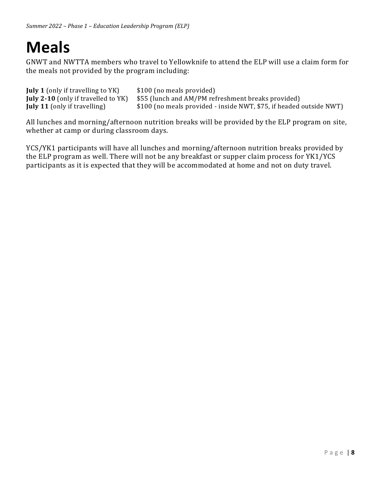# **Meals**

GNWT and NWTTA members who travel to Yellowknife to attend the ELP will use a claim form for the meals not provided by the program including:

| <b>July 1</b> (only if travelling to YK) | \$100 (no meals provided)                                                                           |
|------------------------------------------|-----------------------------------------------------------------------------------------------------|
|                                          | <b>July 2-10</b> (only if travelled to $YK$ ) $$55$ (lunch and $AM/PM$ refreshment breaks provided) |
| <b>July 11</b> (only if travelling)      | \$100 (no meals provided - inside NWT, \$75, if headed outside NWT)                                 |

All lunches and morning/afternoon nutrition breaks will be provided by the ELP program on site, whether at camp or during classroom days.

YCS/YK1 participants will have all lunches and morning/afternoon nutrition breaks provided by the ELP program as well. There will not be any breakfast or supper claim process for YK1/YCS participants as it is expected that they will be accommodated at home and not on duty travel.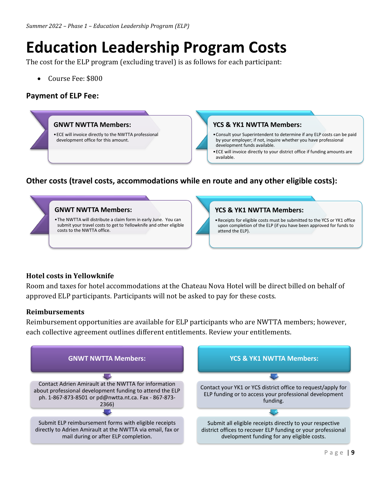# **Education Leadership Program Costs**

The cost for the ELP program (excluding travel) is as follows for each participant:

• Course Fee: \$800

### **Payment of ELP Fee:**



# **Other costs (travel costs, accommodations while en route and any other eligible costs):**



# **Hotel costs in Yellowknife**

Room and taxes for hotel accommodations at the Chateau Nova Hotel will be direct billed on behalf of approved ELP participants. Participants will not be asked to pay for these costs.

# **Reimbursements**

Reimbursement opportunities are available for ELP participants who are NWTTA members; however, each collective agreement outlines different entitlements. Review your entitlements.